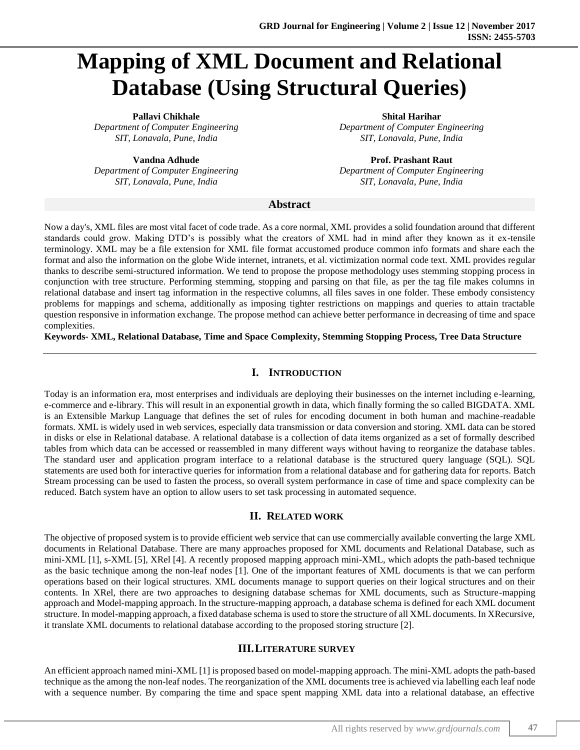# **Mapping of XML Document and Relational Database (Using Structural Queries)**

*Department of Computer Engineering Department of Computer Engineering*

**Pallavi Chikhale Shital Harihar** *Department of Computer Engineering Department of Computer Engineering SIT, Lonavala, Pune, India SIT, Lonavala, Pune, India*

**Vandna Adhude Prof. Prashant Raut** *SIT, Lonavala, Pune, India SIT, Lonavala, Pune, India*

#### **Abstract**

Now a day's, XML files are most vital facet of code trade. As a core normal, XML provides a solid foundation around that different standards could grow. Making DTD's is possibly what the creators of XML had in mind after they known as it ex-tensile terminology. XML may be a file extension for XML file format accustomed produce common info formats and share each the format and also the information on the globe Wide internet, intranets, et al. victimization normal code text. XML provides regular thanks to describe semi-structured information. We tend to propose the propose methodology uses stemming stopping process in conjunction with tree structure. Performing stemming, stopping and parsing on that file, as per the tag file makes columns in relational database and insert tag information in the respective columns, all files saves in one folder. These embody consistency problems for mappings and schema, additionally as imposing tighter restrictions on mappings and queries to attain tractable question responsive in information exchange. The propose method can achieve better performance in decreasing of time and space complexities.

**Keywords- XML, Relational Database, Time and Space Complexity, Stemming Stopping Process, Tree Data Structure**

### **I. INTRODUCTION**

Today is an information era, most enterprises and individuals are deploying their businesses on the internet including e-learning, e-commerce and e-library. This will result in an exponential growth in data, which finally forming the so called BIGDATA. XML is an Extensible Markup Language that defines the set of rules for encoding document in both human and machine-readable formats. XML is widely used in web services, especially data transmission or data conversion and storing. XML data can be stored in disks or else in Relational database. A relational database is a collection of data items organized as a set of formally described tables from which data can be accessed or reassembled in many different ways without having to reorganize the database tables. The standard user and application program interface to a relational database is the structured query language (SQL). SQL statements are used both for interactive queries for information from a relational database and for gathering data for reports. Batch Stream processing can be used to fasten the process, so overall system performance in case of time and space complexity can be reduced. Batch system have an option to allow users to set task processing in automated sequence.

## **II. RELATED WORK**

The objective of proposed system is to provide efficient web service that can use commercially available converting the large XML documents in Relational Database. There are many approaches proposed for XML documents and Relational Database, such as mini-XML [1], s-XML [5], XRel [4]. A recently proposed mapping approach mini-XML, which adopts the path-based technique as the basic technique among the non-leaf nodes [1]. One of the important features of XML documents is that we can perform operations based on their logical structures. XML documents manage to support queries on their logical structures and on their contents. In XRel, there are two approaches to designing database schemas for XML documents, such as Structure-mapping approach and Model-mapping approach. In the structure-mapping approach, a database schema is defined for each XML document structure. In model-mapping approach, a fixed database schema is used to store the structure of all XML documents. In XRecursive, it translate XML documents to relational database according to the proposed storing structure [2].

#### **III.LITERATURE SURVEY**

An efficient approach named mini-XML [1] is proposed based on model-mapping approach. The mini-XML adopts the path-based technique as the among the non-leaf nodes. The reorganization of the XML documents tree is achieved via labelling each leaf node with a sequence number. By comparing the time and space spent mapping XML data into a relational database, an effective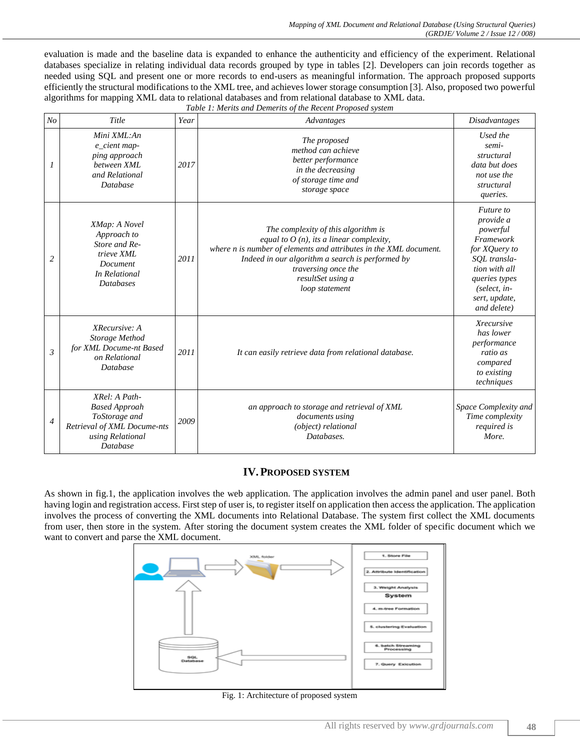evaluation is made and the baseline data is expanded to enhance the authenticity and efficiency of the experiment. Relational databases specialize in relating individual data records grouped by type in tables [2]. Developers can join records together as needed using SQL and present one or more records to end-users as meaningful information. The approach proposed supports efficiently the structural modifications to the XML tree, and achieves lower storage consumption [3]. Also, proposed two powerful algorithms for mapping XML data to relational databases and from relational database to XML data. *Table 1: Merits and Demerits of the Recent Proposed system*

| N <sub>O</sub> | Title                                                                                                                        | Year | raole 1, merus ana Benierus of the Recent 1 roposea system<br>Advantages                                                                                                                                                                                                 | <b>Disadvantages</b>                                                                                                                                                 |
|----------------|------------------------------------------------------------------------------------------------------------------------------|------|--------------------------------------------------------------------------------------------------------------------------------------------------------------------------------------------------------------------------------------------------------------------------|----------------------------------------------------------------------------------------------------------------------------------------------------------------------|
| 1              | Mini XML:An<br>e_cient map-<br>ping approach<br>between XML<br>and Relational<br><b>Database</b>                             | 2017 | The proposed<br>method can achieve<br>better performance<br>in the decreasing<br>of storage time and<br>storage space                                                                                                                                                    | Used the<br>semi-<br>structural<br>data but does<br>not use the<br>structural<br>queries.                                                                            |
| $\overline{c}$ | XMap: A Novel<br>Approach to<br>Store and Re-<br>trieve XML<br>Document<br>In Relational<br><b>Databases</b>                 | 2011 | The complexity of this algorithm is<br>equal to $O(n)$ , its a linear complexity,<br>where n is number of elements and attributes in the XML document.<br>Indeed in our algorithm a search is performed by<br>traversing once the<br>resultSet using a<br>loop statement | Future to<br>provide a<br>powerful<br>Framework<br>for XQuery to<br>SOL transla-<br>tion with all<br>queries types<br>$(select, in-$<br>sert, update,<br>and delete) |
| $\mathfrak{Z}$ | XRecursive: A<br>Storage Method<br>for XML Docume-nt Based<br>on Relational<br>Database                                      | 2011 | It can easily retrieve data from relational database.                                                                                                                                                                                                                    | <b>Xrecursive</b><br>has lower<br>performance<br>ratio as<br>compared<br>to existing<br>techniques                                                                   |
| 4              | XRel: A Path-<br><b>Based Approah</b><br>ToStorage and<br>Retrieval of XML Docume-nts<br>using Relational<br><b>Database</b> | 2009 | an approach to storage and retrieval of XML<br>documents using<br>(object) relational<br>Databases.                                                                                                                                                                      | Space Complexity and<br>Time complexity<br>required is<br>More.                                                                                                      |

#### **IV.PROPOSED SYSTEM**

As shown in fig.1, the application involves the web application. The application involves the admin panel and user panel. Both having login and registration access. First step of user is, to register itself on application then access the application. The application involves the process of converting the XML documents into Relational Database. The system first collect the XML documents from user, then store in the system. After storing the document system creates the XML folder of specific document which we want to convert and parse the XML document.



Fig. 1: Architecture of proposed system